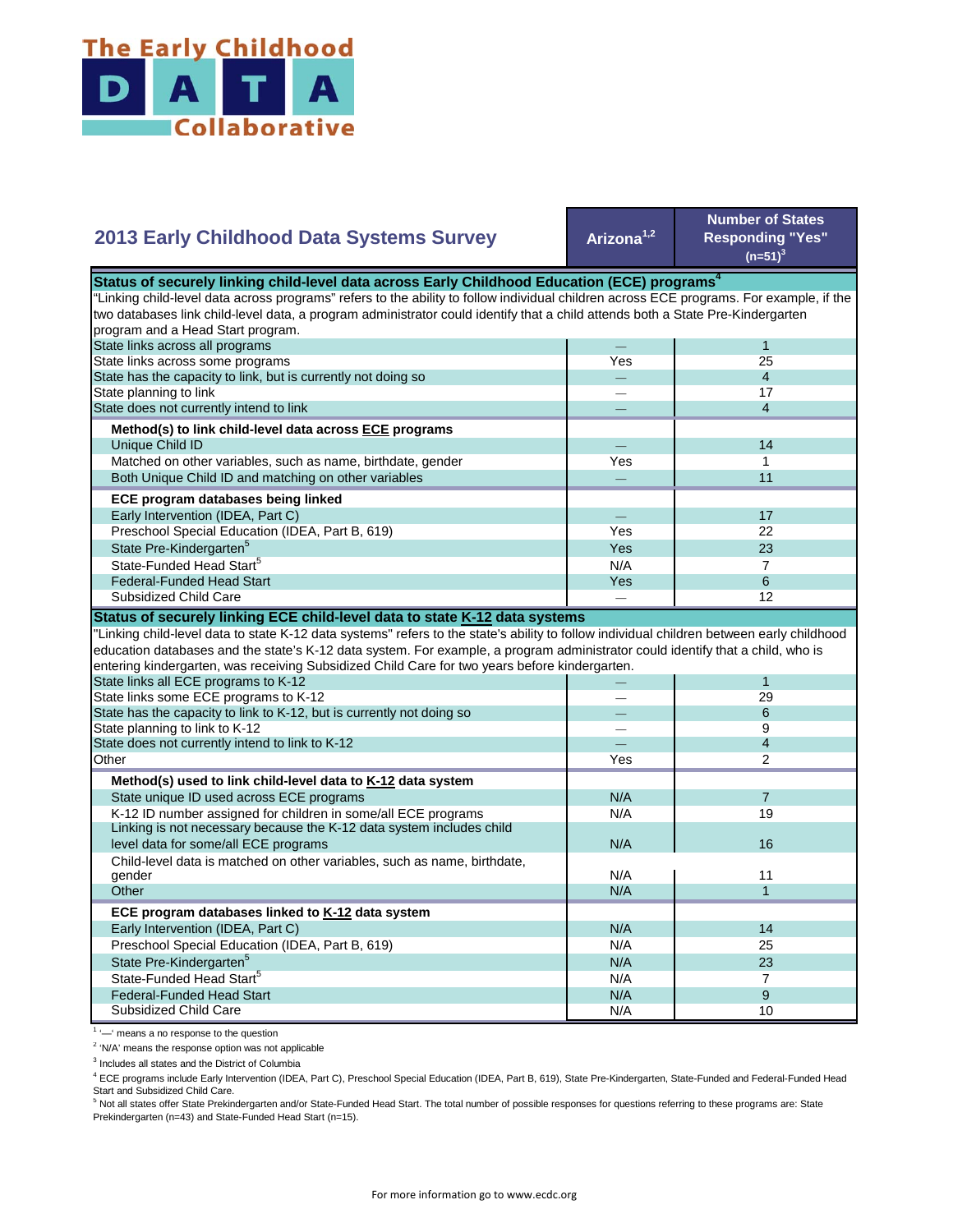

## **Arizona1,2 Number of States Responding "Yes"**   $(n=51)^{3}$ — 1 Yes 25 — 4  $-$  17 — 4  $-$  14 Yes **I** 1  $-$  11  $-$  17 Yes 22  $Yes$  23  $N/A$  7 State Pre-Kindergarten<sup>5</sup> State-Funded Head Start<sup>5</sup> Matched on other variables, such as name, birthdate, gender Both Unique Child ID and matching on other variables  **ECE program databases being linked**  Early Intervention (IDEA, Part C) Preschool Special Education (IDEA, Part B, 619) State has the capacity to link, but is currently not doing so State planning to link State does not currently intend to link  **Method(s) to link child-level data across ECE programs** Unique Child ID **2013 Early Childhood Data Systems Survey** Status of securely linking child-level data across Early Childhood Education (ECE) programs<sup>4</sup> "Linking child-level data across programs" refers to the ability to follow individual children across ECE programs. For example, if the two databases link child-level data, a program administrator could identify that a child attends both a State Pre-Kindergarten program and a Head Start program. State links across all programs State links across some programs Yes 8  $-$  12 — 1 — 29 — 6 — 9 — 4 Yes | 2  $N/A$  7 N/A 19 N/A N/A **11** 11  $N/A$  1 N/A 14 N/A 25 N/A 23  $N/A$  7  $N/A$  9 N/A 10 Preschool Special Education (IDEA, Part B, 619) State Pre-Kindergarten<sup>5</sup> State-Funded Head Start<sup>5</sup> Federal-Funded Head Start Subsidized Child Care Child-level data is matched on other variables, such as name, birthdate, gender **Other ECE program databases linked to K-12 data system** Early Intervention (IDEA, Part C) **Other Method(s) used to link child-level data to K-12 data system** State unique ID used across ECE programs K-12 ID number assigned for children in some/all ECE programs Linking is not necessary because the K-12 data system includes child level data for some/all ECE programs 16 and 16 and 16 and 16 and 16 and 16 and 16 and 16 and 16 and 16 and 16  $\mu$ "Linking child-level data to state K-12 data systems" refers to the state's ability to follow individual children between early childhood education databases and the state's K-12 data system. For example, a program administrator could identify that a child, who is entering kindergarten, was receiving Subsidized Child Care for two years before kindergarten. State links all ECE programs to K-12 State links some ECE programs to K-12 State has the capacity to link to K-12, but is currently not doing so State planning to link to K-12 State does not currently intend to link to K-12 Federal-Funded Head Start Subsidized Child Care **Status of securely linking ECE child-level data to state K-12 data systems**

<sup>1</sup> '-' means a no response to the question

<sup>2</sup> 'N/A' means the response option was not applicable

<sup>3</sup> Includes all states and the District of Columbia

<sup>4</sup> ECE programs include Early Intervention (IDEA, Part C), Preschool Special Education (IDEA, Part B, 619), State Pre-Kindergarten, State-Funded and Federal-Funded Head Start and Subsidized Child Care.

<sup>5</sup> Not all states offer State Prekindergarten and/or State-Funded Head Start. The total number of possible responses for questions referring to these programs are: State Prekindergarten (n=43) and State-Funded Head Start (n=15).